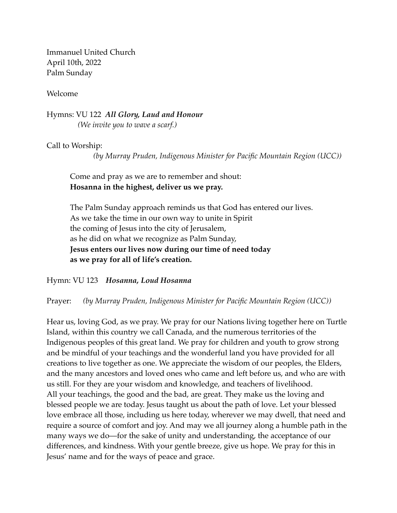Immanuel United Church April 10th, 2022 Palm Sunday

Welcome

Hymns: VU 122 *All Glory, Laud and Honour (We invite you to wave a scarf.)* 

Call to Worship:

*(by Murray Pruden, Indigenous Minister for Pacific Mountain Region (UCC))*

Come and pray as we are to remember and shout: **Hosanna in the highest, deliver us we pray.** 

The Palm Sunday approach reminds us that God has entered our lives. As we take the time in our own way to unite in Spirit the coming of Jesus into the city of Jerusalem, as he did on what we recognize as Palm Sunday, **Jesus enters our lives now during our time of need today as we pray for all of life's creation.**

Hymn: VU 123 *Hosanna, Loud Hosanna* 

Prayer: *(by Murray Pruden, Indigenous Minister for Pacific Mountain Region (UCC))*

Hear us, loving God, as we pray. We pray for our Nations living together here on Turtle Island, within this country we call Canada, and the numerous territories of the Indigenous peoples of this great land. We pray for children and youth to grow strong and be mindful of your teachings and the wonderful land you have provided for all creations to live together as one. We appreciate the wisdom of our peoples, the Elders, and the many ancestors and loved ones who came and left before us, and who are with us still. For they are your wisdom and knowledge, and teachers of livelihood. All your teachings, the good and the bad, are great. They make us the loving and blessed people we are today. Jesus taught us about the path of love. Let your blessed love embrace all those, including us here today, wherever we may dwell, that need and require a source of comfort and joy. And may we all journey along a humble path in the many ways we do—for the sake of unity and understanding, the acceptance of our differences, and kindness. With your gentle breeze, give us hope. We pray for this in Jesus' name and for the ways of peace and grace.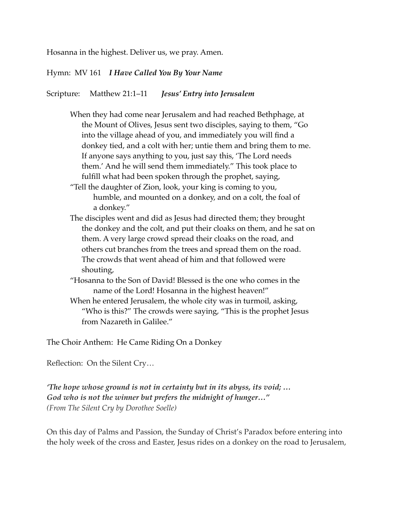Hosanna in the highest. Deliver us, we pray. Amen.

Hymn: MV 161 *I Have Called You By Your Name*

Scripture: Matthew 21:1‒11 *Jesus' Entry into Jerusalem*

- When they had come near Jerusalem and had reached Bethphage, at the Mount of Olives, Jesus sent two disciples, saying to them, "Go into the village ahead of you, and immediately you will find a donkey tied, and a colt with her; untie them and bring them to me. If anyone says anything to you, just say this, 'The Lord needs them.' And he will send them immediately." This took place to fulfill what had been spoken through the prophet, saying,
- "Tell the daughter of Zion, look, your king is coming to you, humble, and mounted on a donkey, and on a colt, the foal of a donkey."
- The disciples went and did as Jesus had directed them; they brought the donkey and the colt, and put their cloaks on them, and he sat on them. A very large crowd spread their cloaks on the road, and others cut branches from the trees and spread them on the road. The crowds that went ahead of him and that followed were shouting,
- "Hosanna to the Son of David! Blessed is the one who comes in the name of the Lord! Hosanna in the highest heaven!"
- When he entered Jerusalem, the whole city was in turmoil, asking, "Who is this?" The crowds were saying, "This is the prophet Jesus from Nazareth in Galilee."

The Choir Anthem: He Came Riding On a Donkey

Reflection: On the Silent Cry…

*'The hope whose ground is not in certainty but in its abyss, its void; … God who is not the winner but prefers the midnight of hunger…" (From The Silent Cry by Dorothee Soelle)*

On this day of Palms and Passion, the Sunday of Christ's Paradox before entering into the holy week of the cross and Easter, Jesus rides on a donkey on the road to Jerusalem,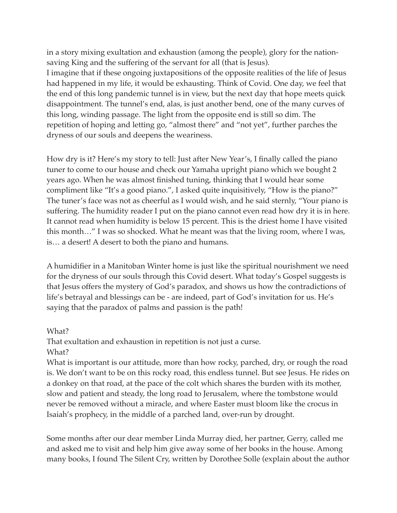in a story mixing exultation and exhaustion (among the people), glory for the nationsaving King and the suffering of the servant for all (that is Jesus). I imagine that if these ongoing juxtapositions of the opposite realities of the life of Jesus had happened in my life, it would be exhausting. Think of Covid. One day, we feel that the end of this long pandemic tunnel is in view, but the next day that hope meets quick disappointment. The tunnel's end, alas, is just another bend, one of the many curves of this long, winding passage. The light from the opposite end is still so dim. The repetition of hoping and letting go, "almost there" and "not yet", further parches the dryness of our souls and deepens the weariness.

How dry is it? Here's my story to tell: Just after New Year's, I finally called the piano tuner to come to our house and check our Yamaha upright piano which we bought 2 years ago. When he was almost finished tuning, thinking that I would hear some compliment like "It's a good piano.", I asked quite inquisitively, "How is the piano?" The tuner's face was not as cheerful as I would wish, and he said sternly, "Your piano is suffering. The humidity reader I put on the piano cannot even read how dry it is in here. It cannot read when humidity is below 15 percent. This is the driest home I have visited this month…" I was so shocked. What he meant was that the living room, where I was, is… a desert! A desert to both the piano and humans.

A humidifier in a Manitoban Winter home is just like the spiritual nourishment we need for the dryness of our souls through this Covid desert. What today's Gospel suggests is that Jesus offers the mystery of God's paradox, and shows us how the contradictions of life's betrayal and blessings can be - are indeed, part of God's invitation for us. He's saying that the paradox of palms and passion is the path!

## What? That exultation and exhaustion in repetition is not just a curse. What?

What is important is our attitude, more than how rocky, parched, dry, or rough the road is. We don't want to be on this rocky road, this endless tunnel. But see Jesus. He rides on a donkey on that road, at the pace of the colt which shares the burden with its mother, slow and patient and steady, the long road to Jerusalem, where the tombstone would never be removed without a miracle, and where Easter must bloom like the crocus in Isaiah's prophecy, in the middle of a parched land, over-run by drought.

Some months after our dear member Linda Murray died, her partner, Gerry, called me and asked me to visit and help him give away some of her books in the house. Among many books, I found The Silent Cry, written by Dorothee Solle (explain about the author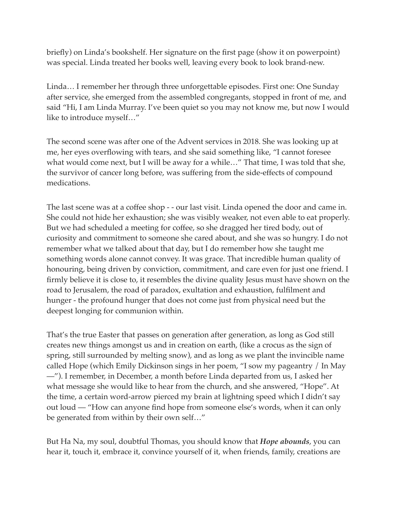briefly) on Linda's bookshelf. Her signature on the first page (show it on powerpoint) was special. Linda treated her books well, leaving every book to look brand-new.

Linda… I remember her through three unforgettable episodes. First one: One Sunday after service, she emerged from the assembled congregants, stopped in front of me, and said "Hi, I am Linda Murray. I've been quiet so you may not know me, but now I would like to introduce myself…"

The second scene was after one of the Advent services in 2018. She was looking up at me, her eyes overflowing with tears, and she said something like, "I cannot foresee what would come next, but I will be away for a while..." That time, I was told that she, the survivor of cancer long before, was suffering from the side-effects of compound medications.

The last scene was at a coffee shop - - our last visit. Linda opened the door and came in. She could not hide her exhaustion; she was visibly weaker, not even able to eat properly. But we had scheduled a meeting for coffee, so she dragged her tired body, out of curiosity and commitment to someone she cared about, and she was so hungry. I do not remember what we talked about that day, but I do remember how she taught me something words alone cannot convey. It was grace. That incredible human quality of honouring, being driven by conviction, commitment, and care even for just one friend. I firmly believe it is close to, it resembles the divine quality Jesus must have shown on the road to Jerusalem, the road of paradox, exultation and exhaustion, fulfilment and hunger - the profound hunger that does not come just from physical need but the deepest longing for communion within.

That's the true Easter that passes on generation after generation, as long as God still creates new things amongst us and in creation on earth, (like a crocus as the sign of spring, still surrounded by melting snow), and as long as we plant the invincible name called Hope (which Emily Dickinson sings in her poem, "I sow my pageantry / In May —"). I remember, in December, a month before Linda departed from us, I asked her what message she would like to hear from the church, and she answered, "Hope". At the time, a certain word-arrow pierced my brain at lightning speed which I didn't say out loud — "How can anyone find hope from someone else's words, when it can only be generated from within by their own self…"

But Ha Na, my soul, doubtful Thomas, you should know that *Hope abounds*, you can hear it, touch it, embrace it, convince yourself of it, when friends, family, creations are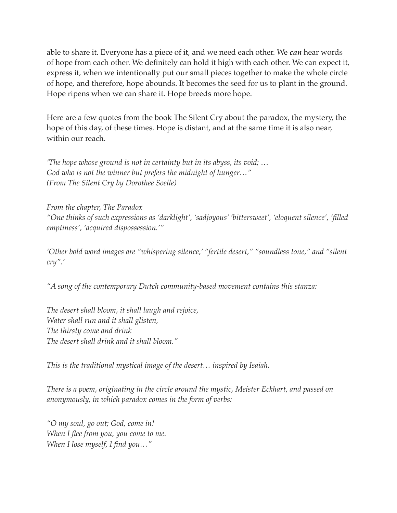able to share it. Everyone has a piece of it, and we need each other. We *can* hear words of hope from each other. We definitely can hold it high with each other. We can expect it, express it, when we intentionally put our small pieces together to make the whole circle of hope, and therefore, hope abounds. It becomes the seed for us to plant in the ground. Hope ripens when we can share it. Hope breeds more hope.

Here are a few quotes from the book The Silent Cry about the paradox, the mystery, the hope of this day, of these times. Hope is distant, and at the same time it is also near, within our reach.

*'The hope whose ground is not in certainty but in its abyss, its void; … God who is not the winner but prefers the midnight of hunger…" (From The Silent Cry by Dorothee Soelle)*

*From the chapter, The Paradox "One thinks of such expressions as 'darklight', 'sadjoyous' 'bittersweet', 'eloquent silence', 'filled emptiness', 'acquired dispossession.'"*

*'Other bold word images are "whispering silence,' "fertile desert," "soundless tone," and "silent cry".'*

*"A song of the contemporary Dutch community-based movement contains this stanza:*

*The desert shall bloom, it shall laugh and rejoice, Water shall run and it shall glisten, The thirsty come and drink The desert shall drink and it shall bloom."*

*This is the traditional mystical image of the desert… inspired by Isaiah.*

*There is a poem, originating in the circle around the mystic, Meister Eckhart, and passed on anonymously, in which paradox comes in the form of verbs:*

*"O my soul, go out; God, come in! When I flee from you, you come to me. When I lose myself, I find you…"*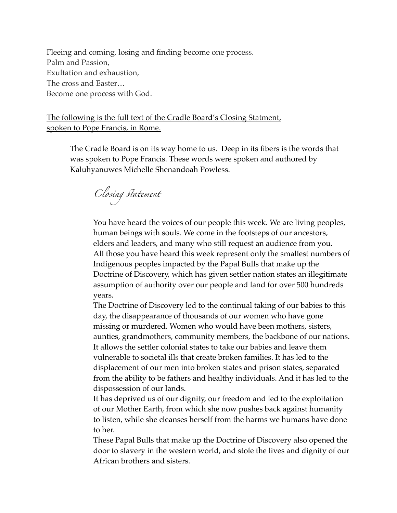Fleeing and coming, losing and finding become one process. Palm and Passion, Exultation and exhaustion, The cross and Easter… Become one process with God.

The following is the full text of the Cradle Board's Closing Statment, spoken to Pope Francis, in Rome.

The Cradle Board is on its way home to us. Deep in its fibers is the words that was spoken to Pope Francis. These words were spoken and authored by Kaluhyanuwes Michelle Shenandoah Powless.

*Closing* st*atement*

You have heard the voices of our people this week. We are living peoples, human beings with souls. We come in the footsteps of our ancestors, elders and leaders, and many who still request an audience from you. All those you have heard this week represent only the smallest numbers of Indigenous peoples impacted by the Papal Bulls that make up the Doctrine of Discovery, which has given settler nation states an illegitimate assumption of authority over our people and land for over 500 hundreds years.

The Doctrine of Discovery led to the continual taking of our babies to this day, the disappearance of thousands of our women who have gone missing or murdered. Women who would have been mothers, sisters, aunties, grandmothers, community members, the backbone of our nations. It allows the settler colonial states to take our babies and leave them vulnerable to societal ills that create broken families. It has led to the displacement of our men into broken states and prison states, separated from the ability to be fathers and healthy individuals. And it has led to the dispossession of our lands.

It has deprived us of our dignity, our freedom and led to the exploitation of our Mother Earth, from which she now pushes back against humanity to listen, while she cleanses herself from the harms we humans have done to her.

These Papal Bulls that make up the Doctrine of Discovery also opened the door to slavery in the western world, and stole the lives and dignity of our African brothers and sisters.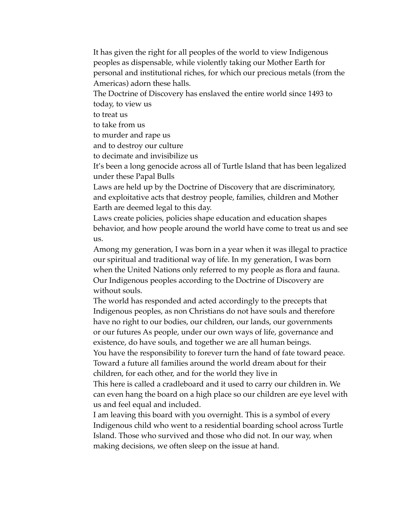It has given the right for all peoples of the world to view Indigenous peoples as dispensable, while violently taking our Mother Earth for personal and institutional riches, for which our precious metals (from the Americas) adorn these halls.

The Doctrine of Discovery has enslaved the entire world since 1493 to today, to view us

to treat us

to take from us

to murder and rape us

and to destroy our culture

to decimate and invisibilize us

It's been a long genocide across all of Turtle Island that has been legalized under these Papal Bulls

Laws are held up by the Doctrine of Discovery that are discriminatory, and exploitative acts that destroy people, families, children and Mother Earth are deemed legal to this day.

Laws create policies, policies shape education and education shapes behavior, and how people around the world have come to treat us and see us.

Among my generation, I was born in a year when it was illegal to practice our spiritual and traditional way of life. In my generation, I was born when the United Nations only referred to my people as flora and fauna. Our Indigenous peoples according to the Doctrine of Discovery are without souls.

The world has responded and acted accordingly to the precepts that Indigenous peoples, as non Christians do not have souls and therefore have no right to our bodies, our children, our lands, our governments or our futures As people, under our own ways of life, governance and existence, do have souls, and together we are all human beings.

You have the responsibility to forever turn the hand of fate toward peace. Toward a future all families around the world dream about for their children, for each other, and for the world they live in

This here is called a cradleboard and it used to carry our children in. We can even hang the board on a high place so our children are eye level with us and feel equal and included.

I am leaving this board with you overnight. This is a symbol of every Indigenous child who went to a residential boarding school across Turtle Island. Those who survived and those who did not. In our way, when making decisions, we often sleep on the issue at hand.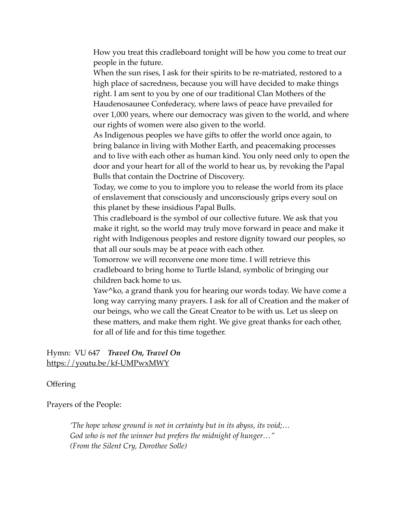How you treat this cradleboard tonight will be how you come to treat our people in the future.

When the sun rises, I ask for their spirits to be re-matriated, restored to a high place of sacredness, because you will have decided to make things right. I am sent to you by one of our traditional Clan Mothers of the Haudenosaunee Confederacy, where laws of peace have prevailed for over 1,000 years, where our democracy was given to the world, and where our rights of women were also given to the world.

As Indigenous peoples we have gifts to offer the world once again, to bring balance in living with Mother Earth, and peacemaking processes and to live with each other as human kind. You only need only to open the door and your heart for all of the world to hear us, by revoking the Papal Bulls that contain the Doctrine of Discovery.

Today, we come to you to implore you to release the world from its place of enslavement that consciously and unconsciously grips every soul on this planet by these insidious Papal Bulls.

This cradleboard is the symbol of our collective future. We ask that you make it right, so the world may truly move forward in peace and make it right with Indigenous peoples and restore dignity toward our peoples, so that all our souls may be at peace with each other.

Tomorrow we will reconvene one more time. I will retrieve this cradleboard to bring home to Turtle Island, symbolic of bringing our children back home to us.

Yaw^ko, a grand thank you for hearing our words today. We have come a long way carrying many prayers. I ask for all of Creation and the maker of our beings, who we call the Great Creator to be with us. Let us sleep on these matters, and make them right. We give great thanks for each other, for all of life and for this time together.

Hymn: VU 647 *Travel On, Travel On* <https://youtu.be/kf-UMPwxMWY>

**Offering** 

Prayers of the People:

*'The hope whose ground is not in certainty but in its abyss, its void;… God who is not the winner but prefers the midnight of hunger…" (From the Silent Cry, Dorothee Solle)*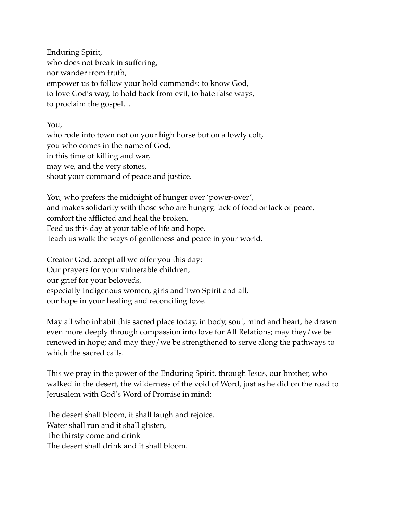Enduring Spirit, who does not break in suffering, nor wander from truth, empower us to follow your bold commands: to know God, to love God's way, to hold back from evil, to hate false ways, to proclaim the gospel…

You,

who rode into town not on your high horse but on a lowly colt, you who comes in the name of God, in this time of killing and war, may we, and the very stones, shout your command of peace and justice.

You, who prefers the midnight of hunger over 'power-over', and makes solidarity with those who are hungry, lack of food or lack of peace, comfort the afflicted and heal the broken. Feed us this day at your table of life and hope. Teach us walk the ways of gentleness and peace in your world.

Creator God, accept all we offer you this day: Our prayers for your vulnerable children; our grief for your beloveds, especially Indigenous women, girls and Two Spirit and all, our hope in your healing and reconciling love.

May all who inhabit this sacred place today, in body, soul, mind and heart, be drawn even more deeply through compassion into love for All Relations; may they/we be renewed in hope; and may they/we be strengthened to serve along the pathways to which the sacred calls.

This we pray in the power of the Enduring Spirit, through Jesus, our brother, who walked in the desert, the wilderness of the void of Word, just as he did on the road to Jerusalem with God's Word of Promise in mind:

The desert shall bloom, it shall laugh and rejoice. Water shall run and it shall glisten, The thirsty come and drink The desert shall drink and it shall bloom.